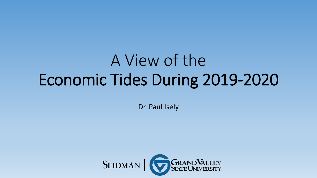# A View of the Economic Tides During 2019-2020

Dr. Paul Isely

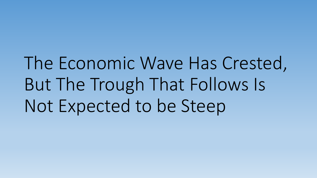The Economic Wave Has Crested, But The Trough That Follows Is Not Expected to be Steep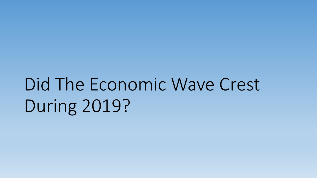Did The Economic Wave Crest During 2019?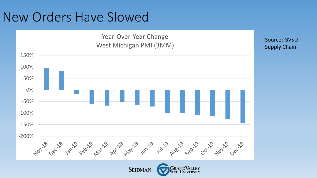### New Orders Have Slowed

#### Year-Over-Year Change West Michigan PMI (3MM)



Source: GVSU Supply Chain

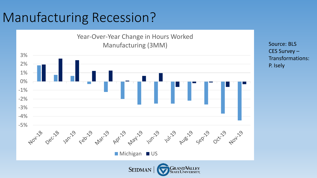# Manufacturing Recession?

Year-Over-Year Change in Hours Worked Manufacturing (3MM)



Source: BLS CES Survey – Transformations: P. Isely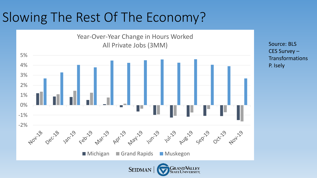# Slowing The Rest Of The Economy?

Year-Over-Year Change in Hours Worked All Private Jobs (3MM)



Source: BLS CES Survey – **Transformations** P. Isely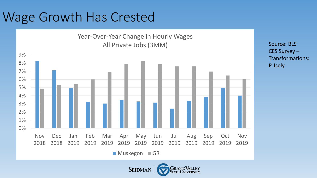### Wage Growth Has Crested

#### Year-Over-Year Change in Hourly Wages All Private Jobs (3MM)



**SEIDMAN** 

**GRANDVALLEY** 

**State University** 

Source: BLS CES Survey – Transformations: P. Isely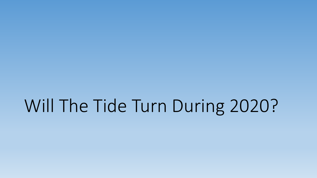# Will The Tide Turn During 2020?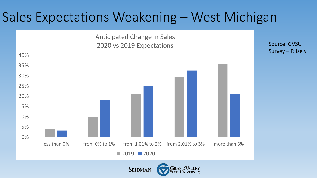#### Sales Expectations Weakening – West Michigan

Anticipated Change in Sales 2020 vs 2019 Expectations

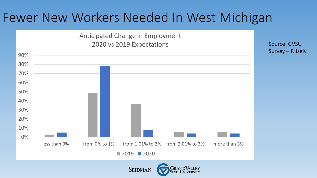#### Fewer New Workers Needed In West Michigan

Anticipated Change in Employment 2020 vs 2019 Expectations

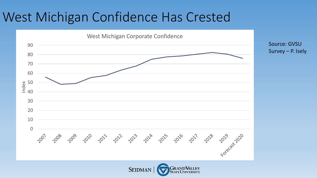## West Michigan Confidence Has Crested

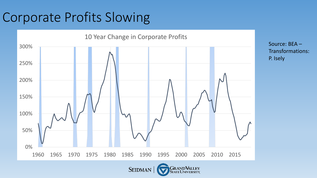# Corporate Profits Slowing



Source: BEA – Transformations: P. Isely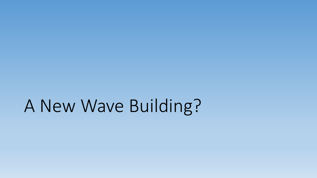# A New Wave Building?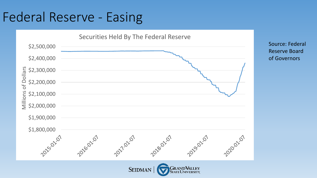## Federal Reserve - Easing



Source: Federal Reserve Board of Governors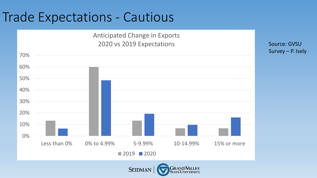### Trade Expectations - Cautious

Anticipated Change in Exports 2020 vs 2019 Expectations

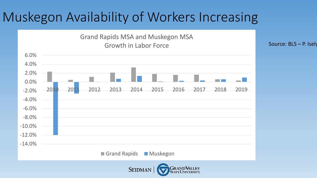## Muskegon Availability of Workers Increasing



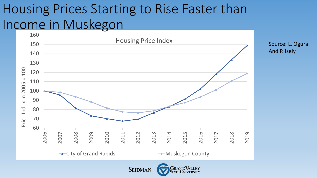## Housing Prices Starting to Rise Faster than Income in Muskegon



**RANDVALLEY SEIDMAN** 

Source: L. Ogura

And P. Isely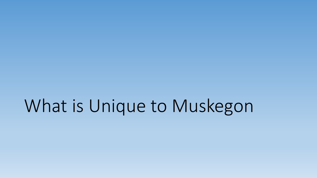# What is Unique to Muskegon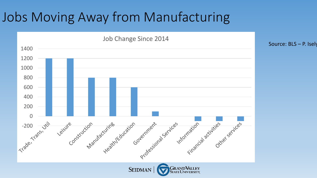### Jobs Moving Away from Manufacturing



Source: BLS – P. Isely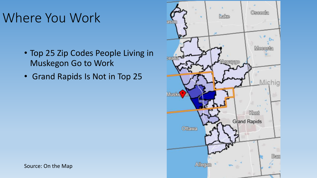# Where You Work

- Top 25 Zip Codes People Living in Muskegon Go to Work
- Grand Rapids Is Not in Top 25



Source: On the Map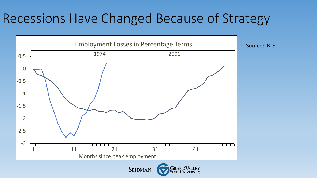### Recessions Have Changed Because of Strategy

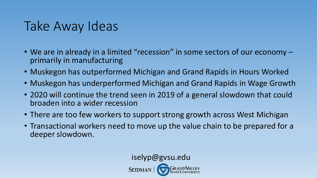### Take Away Ideas

- We are in already in a limited "recession" in some sectors of our economy primarily in manufacturing
- Muskegon has outperformed Michigan and Grand Rapids in Hours Worked
- Muskegon has underperformed Michigan and Grand Rapids in Wage Growth
- 2020 will continue the trend seen in 2019 of a general slowdown that could broaden into a wider recession
- There are too few workers to support strong growth across West Michigan
- Transactional workers need to move up the value chain to be prepared for a deeper slowdown.